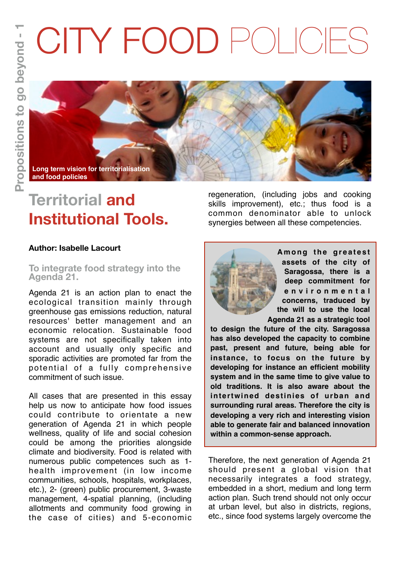# CITY FOOD POLICIES



# **Territorial and Institutional Tools.**

**Author: Isabelle Lacourt**

## **To integrate food strategy into the Agenda 21.**

Agenda 21 is an action plan to enact the ecological transition mainly through greenhouse gas emissions reduction, natural resources' better management and an economic relocation. Sustainable food systems are not specifically taken into account and usually only specific and sporadic activities are promoted far from the potential of a fully comprehensive commitment of such issue.

All cases that are presented in this essay help us now to anticipate how food issues could contribute to orientate a new generation of Agenda 21 in which people wellness, quality of life and social cohesion could be among the priorities alongside climate and biodiversity. Food is related with numerous public competences such as 1 health improvement (in low income communities, schools, hospitals, workplaces, etc.), 2- (green) public procurement, 3-waste management, 4-spatial planning, (including allotments and community food growing in the case of cities) and 5-economic

regeneration, (including jobs and cooking skills improvement), etc.; thus food is a common denominator able to unlock synergies between all these competencies.



Among the greatest **assets of the city of Saragossa, there is a deep commitment for e n v i r o n m e n t a l concerns, traduced by the will to use the local Agenda 21 as a strategic tool** 

**to design the future of the city. Saragossa has also developed the capacity to combine past, present and future, being able for instance, to focus on the future by developing for instance an efficient mobility system and in the same time to give value to old traditions. It is also aware about the intertwined destinies of urban and surrounding rural areas. Therefore the city is developing a very rich and interesting vision able to generate fair and balanced innovation within a common-sense approach.** 

Therefore, the next generation of Agenda 21 should present a global vision that necessarily integrates a food strategy, embedded in a short, medium and long term action plan. Such trend should not only occur at urban level, but also in districts, regions, etc., since food systems largely overcome the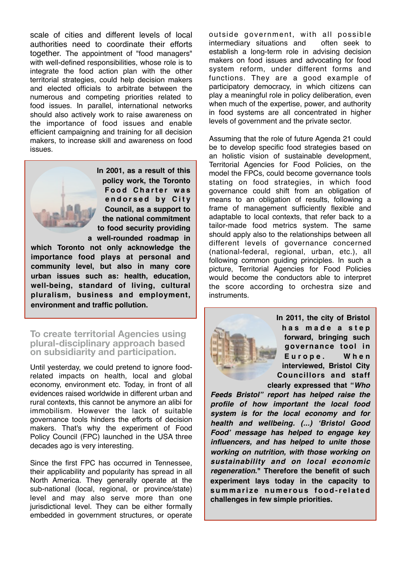scale of cities and different levels of local authorities need to coordinate their efforts together. The appointment of "food managers" with well-defined responsibilities, whose role is to integrate the food action plan with the other territorial strategies, could help decision makers and elected officials to arbitrate between the numerous and competing priorities related to food issues. In parallel, international networks should also actively work to raise awareness on the importance of food issues and enable efficient campaigning and training for all decision makers, to increase skill and awareness on food issues.



**In 2001, as a result of this policy work, the Toronto Food Charter was e n d o r s e d b y C i t y Council, as a support to the national commitment to food security providing a well-rounded roadmap in** 

**which Toronto not only acknowledge the importance food plays at personal and community level, but also in many core urban issues such as: health, education, well-being, standard of living, cultural pluralism, business and employment, environment and traffic pollution.**

# **To create territorial Agencies using plural-disciplinary approach based on subsidiarity and participation.**

Until yesterday, we could pretend to ignore foodrelated impacts on health, local and global economy, environment etc. Today, in front of all evidences raised worldwide in different urban and rural contexts, this cannot be anymore an alibi for immobilism. However the lack of suitable governance tools hinders the efforts of decision makers. That's why the experiment of Food Policy Council (FPC) launched in the USA three decades ago is very interesting.

Since the first FPC has occurred in Tennessee, their applicability and popularity has spread in all North America. They generally operate at the sub-national (local, regional, or province/state) level and may also serve more than one jurisdictional level. They can be either formally embedded in government structures, or operate outside government, with all possible intermediary situations and often seek to establish a long-term role in advising decision makers on food issues and advocating for food system reform, under different forms and functions. They are a good example of participatory democracy, in which citizens can play a meaningful role in policy deliberation, even when much of the expertise, power, and authority in food systems are all concentrated in higher levels of government and the private sector.

Assuming that the role of future Agenda 21 could be to develop specific food strategies based on an holistic vision of sustainable development, Territorial Agencies for Food Policies, on the model the FPCs, could become governance tools stating on food strategies, in which food governance could shift from an obligation of means to an obligation of results, following a frame of management sufficiently flexible and adaptable to local contexts, that refer back to a tailor-made food metrics system. The same should apply also to the relationships between all different levels of governance concerned (national-federal, regional, urban, etc.), all following common guiding principles. In such a picture, Territorial Agencies for Food Policies would become the conductors able to interpret the score according to orchestra size and instruments.



**In 2011, the city of Bristol h a s m a d e a s t e p forward, bringing such governance tool in**  Europe. When **interviewed, Bristol City Councillors and staff clearly expressed that "***Who* 

*Feeds Bristol" report has helped raise the profile of how important the local food system is for the local economy and for health and wellbeing. (...) 'Bristol Good Food' message has helped to engage key influencers, and has helped to unite those working on nutrition, with those working on sustainability and on local economic regeneration***." Therefore the benefit of such experiment lays today in the capacity to**  summarize numerous food-related **challenges in few simple priorities.**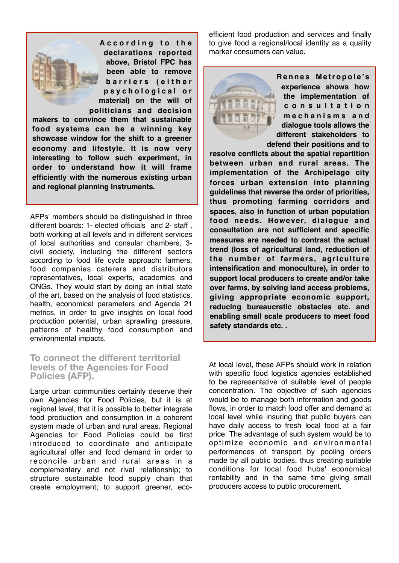

**A c c o r d i n g t o t h e declarations reported above, Bristol FPC has been able to remove b a r r i e r s ( e i t h e r p s y c h o l o g i c a l o r material) on the will of politicians and decision** 

**makers to convince them that sustainable food systems can be a winning key showcase window for the shift to a greener economy and lifestyle. It is now very interesting to follow such experiment, in order to understand how it will frame efficiently with the numerous existing urban and regional planning instruments.**

AFPs' members should be distinguished in three different boards: 1- elected officials and 2- staff , both working at all levels and in different services of local authorities and consular chambers, 3 civil society, including the different sectors according to food life cycle approach: farmers, food companies caterers and distributors representatives, local experts, academics and ONGs. They would start by doing an initial state of the art, based on the analysis of food statistics, health, economical parameters and Agenda 21 metrics, in order to give insights on local food production potential, urban sprawling pressure, patterns of healthy food consumption and environmental impacts.

#### **To connect the different territorial levels of the Agencies for Food Policies (AFP).**

Large urban communities certainly deserve their own Agencies for Food Policies, but it is at regional level, that it is possible to better integrate food production and consumption in a coherent system made of urban and rural areas. Regional Agencies for Food Policies could be first introduced to coordinate and anticipate agricultural offer and food demand in order to reconcile urban and rural areas in a complementary and not rival relationship; to structure sustainable food supply chain that create employment; to support greener, ecoefficient food production and services and finally to give food a regional/local identity as a quality marker consumers can value.



**R e n n e s M e t r o p o l e 's experience shows how the implementation of c o n s u l t a t i o n m e c h a n i s m s a n d dialogue tools allows the different stakeholders to defend their positions and to** 

**resolve conflicts about the spatial repartition between urban and rural areas. The implementation of the Archipelago city forces urban extension into planning guidelines that reverse the order of priorities, thus promoting farming corridors and spaces, also in function of urban population food needs. However, dialogue and consultation are not sufficient and specific measures are needed to contrast the actual trend (loss of agricultural land, reduction of the number of farmers, agriculture intensification and monoculture), in order to support local producers to create and/or take over farms, by solving land access problems, giving appropriate economic support, reducing bureaucratic obstacles etc. and enabling small scale producers to meet food safety standards etc. .**

At local level, these AFPs should work in relation with specific food logistics agencies established to be representative of suitable level of people concentration. The objective of such agencies would be to manage both information and goods flows, in order to match food offer and demand at local level while insuring that public buyers can have daily access to fresh local food at a fair price. The advantage of such system would be to optimize economic and environmental performances of transport by pooling orders made by all public bodies, thus creating suitable conditions for local food hubs' economical rentability and in the same time giving small producers access to public procurement.